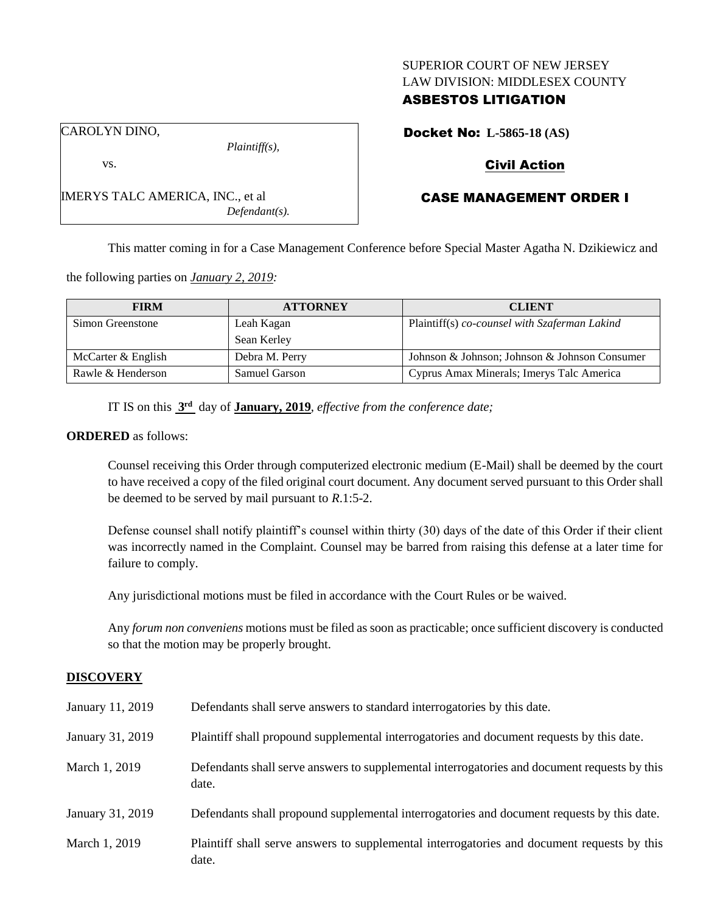### SUPERIOR COURT OF NEW JERSEY LAW DIVISION: MIDDLESEX COUNTY

# ASBESTOS LITIGATION

*Plaintiff(s),*

*Defendant(s).*

## Docket No: **L-5865-18 (AS)**

## Civil Action

# CASE MANAGEMENT ORDER I

This matter coming in for a Case Management Conference before Special Master Agatha N. Dzikiewicz and

the following parties on *January 2, 2019:*

IMERYS TALC AMERICA, INC., et al

| <b>FIRM</b>        | <b>ATTORNEY</b>      | <b>CLIENT</b>                                 |
|--------------------|----------------------|-----------------------------------------------|
| Simon Greenstone   | Leah Kagan           | Plaintiff(s) co-counsel with Szaferman Lakind |
|                    | Sean Kerley          |                                               |
| McCarter & English | Debra M. Perry       | Johnson & Johnson; Johnson & Johnson Consumer |
| Rawle & Henderson  | <b>Samuel Garson</b> | Cyprus Amax Minerals; Imerys Talc America     |

IT IS on this **3 rd** day of **January, 2019**, *effective from the conference date;*

#### **ORDERED** as follows:

Counsel receiving this Order through computerized electronic medium (E-Mail) shall be deemed by the court to have received a copy of the filed original court document. Any document served pursuant to this Order shall be deemed to be served by mail pursuant to *R*.1:5-2.

Defense counsel shall notify plaintiff's counsel within thirty (30) days of the date of this Order if their client was incorrectly named in the Complaint. Counsel may be barred from raising this defense at a later time for failure to comply.

Any jurisdictional motions must be filed in accordance with the Court Rules or be waived.

Any *forum non conveniens* motions must be filed as soon as practicable; once sufficient discovery is conducted so that the motion may be properly brought.

#### **DISCOVERY**

| January 11, 2019 | Defendants shall serve answers to standard interrogatories by this date.                              |
|------------------|-------------------------------------------------------------------------------------------------------|
| January 31, 2019 | Plaintiff shall propound supplemental interrogatories and document requests by this date.             |
| March 1, 2019    | Defendants shall serve answers to supplemental interrogatories and document requests by this<br>date. |
| January 31, 2019 | Defendants shall propound supplemental interrogatories and document requests by this date.            |
| March 1, 2019    | Plaintiff shall serve answers to supplemental interrogatories and document requests by this<br>date.  |

vs.

CAROLYN DINO,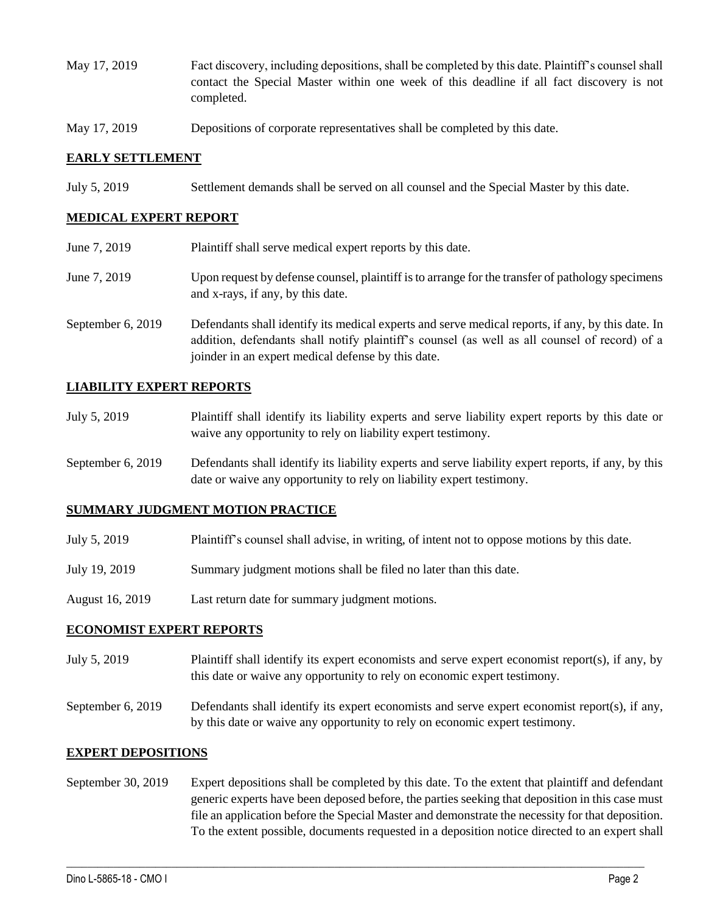- May 17, 2019 Fact discovery, including depositions, shall be completed by this date. Plaintiff's counsel shall contact the Special Master within one week of this deadline if all fact discovery is not completed.
- May 17, 2019 Depositions of corporate representatives shall be completed by this date.

### **EARLY SETTLEMENT**

July 5, 2019 Settlement demands shall be served on all counsel and the Special Master by this date.

### **MEDICAL EXPERT REPORT**

| June 7, 2019      | Plaintiff shall serve medical expert reports by this date.                                                                                                                                                                                               |  |
|-------------------|----------------------------------------------------------------------------------------------------------------------------------------------------------------------------------------------------------------------------------------------------------|--|
| June 7, 2019      | Upon request by defense counsel, plaintiff is to arrange for the transfer of pathology specimens<br>and x-rays, if any, by this date.                                                                                                                    |  |
| September 6, 2019 | Defendants shall identify its medical experts and serve medical reports, if any, by this date. In<br>addition, defendants shall notify plaintiff's counsel (as well as all counsel of record) of a<br>joinder in an expert medical defense by this date. |  |

### **LIABILITY EXPERT REPORTS**

| July 5, 2019 | Plaintiff shall identify its liability experts and serve liability expert reports by this date or |
|--------------|---------------------------------------------------------------------------------------------------|
|              | waive any opportunity to rely on liability expert testimony.                                      |

September 6, 2019 Defendants shall identify its liability experts and serve liability expert reports, if any, by this date or waive any opportunity to rely on liability expert testimony.

#### **SUMMARY JUDGMENT MOTION PRACTICE**

| July 5, 2019 | Plaintiff's counsel shall advise, in writing, of intent not to oppose motions by this date. |  |  |
|--------------|---------------------------------------------------------------------------------------------|--|--|
|              |                                                                                             |  |  |

- July 19, 2019 Summary judgment motions shall be filed no later than this date.
- August 16, 2019 Last return date for summary judgment motions.

### **ECONOMIST EXPERT REPORTS**

- July 5, 2019 Plaintiff shall identify its expert economists and serve expert economist report(s), if any, by this date or waive any opportunity to rely on economic expert testimony.
- September 6, 2019 Defendants shall identify its expert economists and serve expert economist report(s), if any, by this date or waive any opportunity to rely on economic expert testimony.

#### **EXPERT DEPOSITIONS**

September 30, 2019 Expert depositions shall be completed by this date. To the extent that plaintiff and defendant generic experts have been deposed before, the parties seeking that deposition in this case must file an application before the Special Master and demonstrate the necessity for that deposition. To the extent possible, documents requested in a deposition notice directed to an expert shall

 $\_$  ,  $\_$  ,  $\_$  ,  $\_$  ,  $\_$  ,  $\_$  ,  $\_$  ,  $\_$  ,  $\_$  ,  $\_$  ,  $\_$  ,  $\_$  ,  $\_$  ,  $\_$  ,  $\_$  ,  $\_$  ,  $\_$  ,  $\_$  ,  $\_$  ,  $\_$  ,  $\_$  ,  $\_$  ,  $\_$  ,  $\_$  ,  $\_$  ,  $\_$  ,  $\_$  ,  $\_$  ,  $\_$  ,  $\_$  ,  $\_$  ,  $\_$  ,  $\_$  ,  $\_$  ,  $\_$  ,  $\_$  ,  $\_$  ,